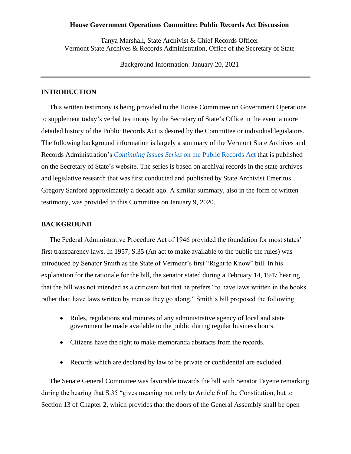### **House Government Operations Committee: Public Records Act Discussion**

Tanya Marshall, State Archivist & Chief Records Officer Vermont State Archives & Records Administration, Office of the Secretary of State

Background Information: January 20, 2021

# **INTRODUCTION**

This written testimony is being provided to the House Committee on Government Operations to supplement today's verbal testimony by the Secretary of State's Office in the event a more detailed history of the Public Records Act is desired by the Committee or individual legislators. The following background information is largely a summary of the Vermont State Archives and Records Administration's *Continuing Issues Series* [on the Public Records Act](https://sos.vermont.gov/vsara/learn/public-records-act/) that is published on the Secretary of State's website. The series is based on archival records in the state archives and legislative research that was first conducted and published by State Archivist Emeritus Gregory Sanford approximately a decade ago. A similar summary, also in the form of written testimony, was provided to this Committee on January 9, 2020.

## **BACKGROUND**

The Federal Administrative Procedure Act of 1946 provided the foundation for most states' first transparency laws. In 1957, S.35 (An act to make available to the public the rules) was introduced by Senator Smith as the State of Vermont's first "Right to Know" bill. In his explanation for the rationale for the bill, the senator stated during a February 14, 1947 hearing that the bill was not intended as a criticism but that he prefers "to have laws written in the books rather than have laws written by men as they go along." Smith's bill proposed the following:

- Rules, regulations and minutes of any administrative agency of local and state government be made available to the public during regular business hours.
- Citizens have the right to make memoranda abstracts from the records.
- Records which are declared by law to be private or confidential are excluded.

The Senate General Committee was favorable towards the bill with Senator Fayette remarking during the hearing that S.35 "gives meaning not only to Article 6 of the Constitution, but to Section 13 of Chapter 2, which provides that the doors of the General Assembly shall be open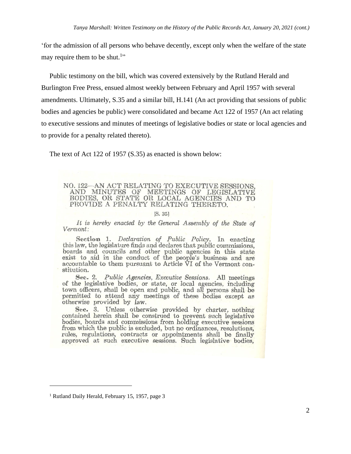'for the admission of all persons who behave decently, except only when the welfare of the state may require them to be shut.<sup>1</sup>"

Public testimony on the bill, which was covered extensively by the Rutland Herald and Burlington Free Press, ensued almost weekly between February and April 1957 with several amendments. Ultimately, S.35 and a similar bill, H.141 (An act providing that sessions of public bodies and agencies be public) were consolidated and became Act 122 of 1957 (An act relating to executive sessions and minutes of meetings of legislative bodies or state or local agencies and to provide for a penalty related thereto).

The text of Act 122 of 1957 (S.35) as enacted is shown below:

NO. 122-AN ACT RELATING TO EXECUTIVE SESSIONS. AND MINUTES OF MEETINGS OF LEGISLATIVE BODIES, OR STATE OR LOCAL AGENCIES AND TO PROVIDE A PENALTY RELATING THERETO.

#### IS. 351

It is hereby enacted by the General Assembly of the State of Vermont:

Section 1. *Declaration of Public Policy*. In enacting this law, the legislature finds and declares that public commissions, business and councils and declares that public commissions,<br>boards and councils and other public agencies in this state<br>exist to aid in the conduct of the people's business and are<br>accountable to them pursuant to Article V stitution.

Sec. 2. Public Agencies, Executive Sessions. All meetings of the legislative bodies, or state, or local agencies, including town officers, shall be open and public, and all persons shall be permitted to attend any meetings of these bodies except as otherwise provided by law.

Sec. 3. Unless otherwise provided by charter, nothing contained herein shall be construed to prevent such legislative bodies, boards and commissions from holding executive sessions from which the public is excluded, but no ordinances, resolutions, rules, regulations, contracts or appointments shall be finally approved at such executive sessions. Such legislative bodies,

<sup>&</sup>lt;sup>1</sup> Rutland Daily Herald, February 15, 1957, page 3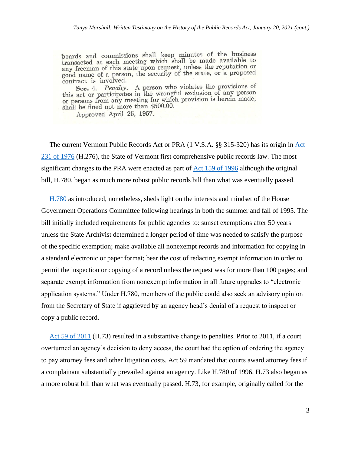boards and commissions shall keep minutes of the business boards and commissions share meeting which shall be made available to any freeman of this state upon request, unless the reputation or good name of a person, the security of the state, or a proposed contract is involved.

Sec. 4. *Penalty*. A person who violates the provisions of<br>this act or participates in the wrongful exclusion of any person this act or participates in the wrongiul exclusion of any person<br>or persons from any meeting for which provision is herein made, shall be fined not more than \$500.00.

Approved April 25, 1957.

The current Vermont Public Records [Act](https://sos.vermont.gov/media/u2gnm1wc/1976_a231.pdf) or PRA (1 V.S.A. §§ 315-320) has its origin in Act [231 of 1976](https://sos.vermont.gov/media/u2gnm1wc/1976_a231.pdf) (H.276), the State of Vermont first comprehensive public records law. The most significant changes to the PRA were enacted as part of [Act 159 of 1996](https://sos.vermont.gov/media/3m0plevl/2011_a059.pdf) although the original bill, H.780, began as much more robust public records bill than what was eventually passed.

[H.780](http://www.leg.state.vt.us/DOCS/1996/BILLS/INTRO/H-780.HTM) as introduced, nonetheless, sheds light on the interests and mindset of the House Government Operations Committee following hearings in both the summer and fall of 1995. The bill initially included requirements for public agencies to: sunset exemptions after 50 years unless the State Archivist determined a longer period of time was needed to satisfy the purpose of the specific exemption; make available all nonexempt records and information for copying in a standard electronic or paper format; bear the cost of redacting exempt information in order to permit the inspection or copying of a record unless the request was for more than 100 pages; and separate exempt information from nonexempt information in all future upgrades to "electronic application systems." Under H.780, members of the public could also seek an advisory opinion from the Secretary of State if aggrieved by an agency head's denial of a request to inspect or copy a public record.

[Act 59 of 2011](https://sos.vermont.gov/media/3m0plevl/2011_a059.pdf) (H.73) resulted in a substantive change to penalties. Prior to 2011, if a court overturned an agency's decision to deny access, the court had the option of ordering the agency to pay attorney fees and other litigation costs. Act 59 mandated that courts award attorney fees if a complainant substantially prevailed against an agency. Like H.780 of 1996, H.73 also began as a more robust bill than what was eventually passed. H.73, for example, originally called for the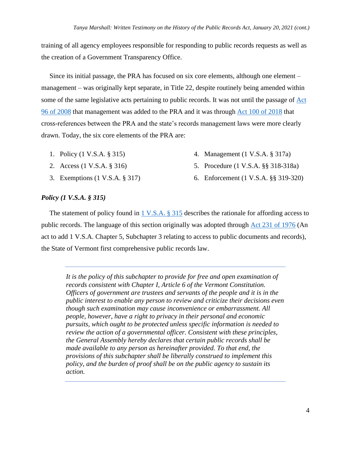training of all agency employees responsible for responding to public records requests as well as the creation of a Government Transparency Office.

Since its initial passage, the PRA has focused on six core elements, although one element – management – was originally kept separate, in Title 22, despite routinely being amended within some of the same legislative acts pertaining to public records. It was not until the passage of [Act](http://www.leg.state.vt.us/docs/legdoc.cfm?URL=/docs/2008/acts/ACT096.htm)  [96 of 2008](http://www.leg.state.vt.us/docs/legdoc.cfm?URL=/docs/2008/acts/ACT096.htm) that management was added to the PRA and it was through [Act 100 of 2018](https://legislature.vermont.gov/Documents/2018/Docs/ACTS/ACT100/ACT100%20As%20Enacted.pdf) that cross-references between the PRA and the state's records management laws were more clearly drawn. Today, the six core elements of the PRA are:

- 1. Policy (1 V.S.A. § 315)
- 2. Access (1 V.S.A. § 316)
- 3. Exemptions (1 V.S.A. § 317)
- 4. Management (1 V.S.A. § 317a)
- 5. Procedure (1 V.S.A. §§ 318-318a)
- 6. Enforcement (1 V.S.A. §§ 319-320)

# *Policy (1 V.S.A. § 315)*

The statement of policy found in  $1 \text{ V.S.A. }$  § 315 describes the rationale for affording access to public records. The language of this section originally was adopted through [Act 231 of 1976](https://sos.vermont.gov/media/u2gnm1wc/1976_a231.pdf) (An act to add 1 V.S.A. Chapter 5, Subchapter 3 relating to access to public documents and records), the State of Vermont first comprehensive public records law.

*It is the policy of this subchapter to provide for free and open examination of records consistent with Chapter I, Article 6 of the Vermont Constitution. Officers of government are trustees and servants of the people and it is in the public interest to enable any person to review and criticize their decisions even though such examination may cause inconvenience or embarrassment. All people, however, have a right to privacy in their personal and economic pursuits, which ought to be protected unless specific information is needed to review the action of a governmental officer. Consistent with these principles, the General Assembly hereby declares that certain public records shall be made available to any person as hereinafter provided. To that end, the provisions of this subchapter shall be liberally construed to implement this policy, and the burden of proof shall be on the public agency to sustain its action.*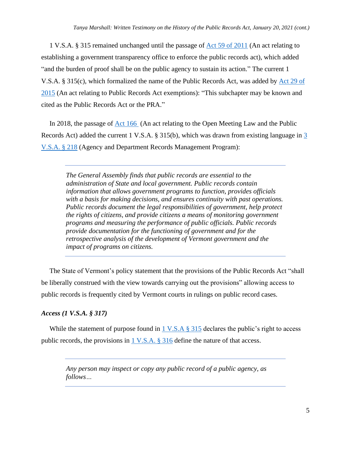1 V.S.A. § 315 remained unchanged until the passage of [Act 59 of 2011](https://sos.vermont.gov/media/3m0plevl/2011_a059.pdf) (An act relating to establishing a government transparency office to enforce the public records act), which added "and the burden of proof shall be on the public agency to sustain its action." The current 1 V.S.A. § 315(c), which formalized the name of the Public Records Act, was added by [Act 29 of](https://legislature.vermont.gov/Documents/2016/Docs/ACTS/ACT029/ACT029%20As%20Enacted.pdf)  [2015](https://legislature.vermont.gov/Documents/2016/Docs/ACTS/ACT029/ACT029%20As%20Enacted.pdf) (An act relating to Public Records Act exemptions): "This subchapter may be known and cited as the Public Records Act or the PRA."

In 2018, the passage of [Act 166](https://legislature.vermont.gov/Documents/2018/Docs/ACTS/ACT166/ACT166%20As%20Enacted.pdf) (An act relating to the Open Meeting Law and the Public Records Act) added the current 1 V.S.A. § 315(b), which was drawn from existing language in [3](https://legislature.vermont.gov/statutes/section/03/009/00218) [V.S.A. § 218](https://legislature.vermont.gov/statutes/section/03/009/00218) (Agency and Department Records Management Program):

*The General Assembly finds that public records are essential to the administration of State and local government. Public records contain information that allows government programs to function, provides officials with a basis for making decisions, and ensures continuity with past operations. Public records document the legal responsibilities of government, help protect the rights of citizens, and provide citizens a means of monitoring government programs and measuring the performance of public officials. Public records provide documentation for the functioning of government and for the retrospective analysis of the development of Vermont government and the impact of programs on citizens.*

The State of Vermont's policy statement that the provisions of the Public Records Act "shall be liberally construed with the view towards carrying out the provisions" allowing access to public records is frequently cited by Vermont courts in rulings on public record cases.

# *Access (1 V.S.A. § 317)*

While the statement of purpose found in  $1 \text{ V.S.A } \text{\$ } 315$  declares the public's right to access public records, the provisions in [1 V.S.A. § 316](http://legislature.vermont.gov/statutes/section/01/005/00316) define the nature of that access.

*Any person may inspect or copy any public record of a public agency, as follows…*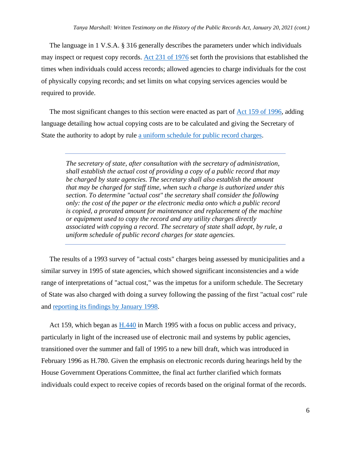The language in 1 V.S.A. § 316 generally describes the parameters under which individuals may inspect or request copy records. [Act 231 of 1976](https://sos.vermont.gov/media/u2gnm1wc/1976_a231.pdf) set forth the provisions that established the times when individuals could access records; allowed agencies to charge individuals for the cost of physically copying records; and set limits on what copying services agencies would be required to provide.

The most significant changes to this section were enacted as part of [Act 159 of 1996,](https://sos.vermont.gov/media/3m0plevl/2011_a059.pdf) adding language detailing how actual copying costs are to be calculated and giving the Secretary of State the authority to adopt by rule [a uniform schedule for public record charges.](https://sos.vermont.gov/vsara/manage/information-governance/compliance/uniform-charges-schedule/)

*The secretary of state, after consultation with the secretary of administration, shall establish the actual cost of providing a copy of a public record that may be charged by state agencies. The secretary shall also establish the amount that may be charged for staff time, when such a charge is authorized under this section. To determine "actual cost" the secretary shall consider the following only: the cost of the paper or the electronic media onto which a public record is copied, a prorated amount for maintenance and replacement of the machine or equipment used to copy the record and any utility charges directly associated with copying a record. The secretary of state shall adopt, by rule, a uniform schedule of public record charges for state agencies.*

The results of a 1993 survey of "actual costs" charges being assessed by municipalities and a similar survey in 1995 of state agencies, which showed significant inconsistencies and a wide range of interpretations of "actual cost," was the impetus for a uniform schedule. The Secretary of State was also charged with doing a survey following the passing of the first "actual cost" rule and [reporting its findings by](https://sos.vermont.gov/media/sham0bxp/vtsos_1998actualcostreport.pdf) January 1998.

Act 159, which began as [H.440](http://www.leg.state.vt.us/DOCS/1996/BILLS/INTRO/H-440.HTM) in March 1995 with a focus on public access and privacy, particularly in light of the increased use of electronic mail and systems by public agencies, transitioned over the summer and fall of 1995 to a new bill draft, which was introduced in February 1996 as H.780. Given the emphasis on electronic records during hearings held by the House Government Operations Committee, the final act further clarified which formats individuals could expect to receive copies of records based on the original format of the records.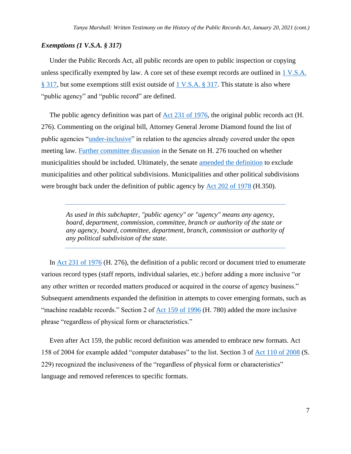## *Exemptions (1 V.S.A. § 317)*

Under the Public Records Act, all public records are open to public inspection or copying unless specifically exempted by law. A core set of these exempt records are outlined in [1 V.S.A.](http://legislature.vermont.gov/statutes/section/01/005/00317)  [§ 317,](http://legislature.vermont.gov/statutes/section/01/005/00317) but some exemptions still exist outside of [1 V.S.A. § 317.](http://legislature.vermont.gov/statutes/section/01/005/00317) This statute is also where "public agency" and "public record" are defined.

The public agency definition was part of  $\text{Act } 231$  of 1976, the original public records act (H. 276). Commenting on the original bill, Attorney General Jerome Diamond found the list of public agencies ["under-inclusive"](https://sos.vermont.gov/media/j0sovsci/diamond_memo_19750122.pdf) in relation to the agencies already covered under the open meeting law. [Further committee discussion](https://sos.vermont.gov/media/3xvp05vu/sengeneralcomtestimony.pdf) in the Senate on H. 276 touched on whether municipalities should be included. Ultimately, the senate [amended the definition](https://sos.vermont.gov/media/foqmesgh/senate_journal_19760325.pdf) to exclude municipalities and other political subdivisions. Municipalities and other political subdivisions were brought back under the definition of public agency by [Act 202 of 1978](https://sos.vermont.gov/media/u3wh50j3/1978_a202.pdf) (H.350).

*As used in this subchapter, "public agency" or "agency" means any agency, board, department, commission, committee, branch or authority of the state or any agency, board, committee, department, branch, commission or authority of any political subdivision of the state.*

In [Act 231 of 1976](https://sos.vermont.gov/media/u2gnm1wc/1976_a231.pdf) (H. 276), the definition of a public record or document tried to enumerate various record types (staff reports, individual salaries, etc.) before adding a more inclusive "or any other written or recorded matters produced or acquired in the course of agency business." Subsequent amendments expanded the definition in attempts to cover emerging formats, such as "machine readable records." Section 2 of [Act 159 of 1996](https://sos.vermont.gov/media/3m0plevl/2011_a059.pdf) (H. 780) added the more inclusive phrase "regardless of physical form or characteristics."

Even after Act 159, the public record definition was amended to embrace new formats. Act 158 of 2004 for example added "computer databases" to the list. Section 3 of [Act 110 of 2008](https://sos.vermont.gov/media/gsqnh4jp/2008_a110.pdf) (S. 229) recognized the inclusiveness of the "regardless of physical form or characteristics" language and removed references to specific formats.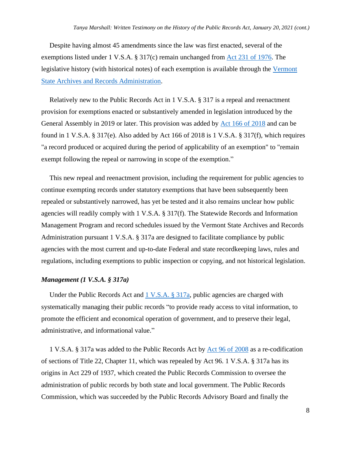Despite having almost 45 amendments since the law was first enacted, several of the exemptions listed under 1 V.S.A. § 317(c) remain unchanged from [Act 231 of 1976.](https://sos.vermont.gov/media/u2gnm1wc/1976_a231.pdf) The legislative history (with historical notes) of each exemption is available through the [Vermont](https://sos.vermont.gov/vsara/learn/public-records-act/exemptions/)  [State Archives and Records Administration.](https://sos.vermont.gov/vsara/learn/public-records-act/exemptions/)

Relatively new to the Public Records Act in 1 V.S.A. § 317 is a repeal and reenactment provision for exemptions enacted or substantively amended in legislation introduced by the General Assembly in 2019 or later. This provision was added by [Act 166 of 2018](https://legislature.vermont.gov/Documents/2018/Docs/ACTS/ACT166/ACT166%20As%20Enacted.pdf) and can be found in 1 V.S.A. § 317(e). Also added by Act 166 of 2018 is 1 V.S.A. § 317(f), which requires "a record produced or acquired during the period of applicability of an exemption" to "remain exempt following the repeal or narrowing in scope of the exemption."

This new repeal and reenactment provision, including the requirement for public agencies to continue exempting records under statutory exemptions that have been subsequently been repealed or substantively narrowed, has yet be tested and it also remains unclear how public agencies will readily comply with 1 V.S.A. § 317(f). The Statewide Records and Information Management Program and record schedules issued by the Vermont State Archives and Records Administration pursuant 1 V.S.A. § 317a are designed to facilitate compliance by public agencies with the most current and up-to-date Federal and state recordkeeping laws, rules and regulations, including exemptions to public inspection or copying, and not historical legislation.

### *Management (1 V.S.A. § 317a)*

Under the Public Records Act and [1 V.S.A. § 317a,](https://legislature.vermont.gov/statutes/section/01/005/00317a) public agencies are charged with systematically managing their public records "to provide ready access to vital information, to promote the efficient and economical operation of government, and to preserve their legal, administrative, and informational value."

1 V.S.A. § 317a was added to the Public Records Act by [Act 96 of 2008](http://www.leg.state.vt.us/docs/legdoc.cfm?URL=/docs/2008/acts/ACT096.htm) as a re-codification of sections of Title 22, Chapter 11, which was repealed by Act 96. 1 V.S.A. § 317a has its origins in Act 229 of 1937, which created the Public Records Commission to oversee the administration of public records by both state and local government. The Public Records Commission, which was succeeded by the Public Records Advisory Board and finally the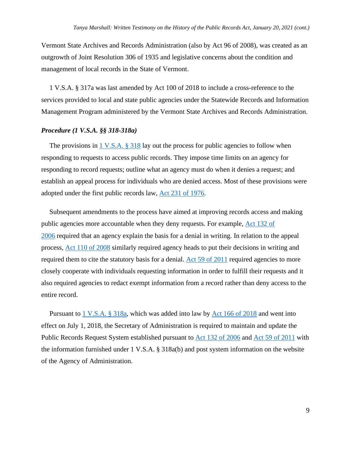Vermont State Archives and Records Administration (also by Act 96 of 2008), was created as an outgrowth of Joint Resolution 306 of 1935 and legislative concerns about the condition and management of local records in the State of Vermont.

1 V.S.A. § 317a was last amended by Act 100 of 2018 to include a cross-reference to the services provided to local and state public agencies under the Statewide Records and Information Management Program administered by the Vermont State Archives and Records Administration.

## *Procedure (1 V.S.A. §§ 318-318a)*

The provisions in  $1 \text{ V.S.A. }$  § 318 lay out the process for public agencies to follow when responding to requests to access public records. They impose time limits on an agency for responding to record requests; outline what an agency must do when it denies a request; and establish an appeal process for individuals who are denied access. Most of these provisions were adopted under the first public records law, [Act 231 of 1976.](https://sos.vermont.gov/media/u2gnm1wc/1976_a231.pdf)

Subsequent amendments to the process have aimed at improving records access and making public agencies more accountable when they deny requests. For example, [Act 132 of](https://sos.vermont.gov/media/unmdmde3/2006_a132.pdf)  [2006](https://sos.vermont.gov/media/unmdmde3/2006_a132.pdf) required that an agency explain the basis for a denial in writing. In relation to the appeal process, [Act 110 of 2008](https://sos.vermont.gov/media/gsqnh4jp/2008_a110.pdf) similarly required agency heads to put their decisions in writing and required them to cite the statutory basis for a denial. [Act 59 of 2011](https://sos.vermont.gov/media/3m0plevl/2011_a059.pdf) required agencies to more closely cooperate with individuals requesting information in order to fulfill their requests and it also required agencies to redact exempt information from a record rather than deny access to the entire record.

Pursuant to [1 V.S.A.](https://legislature.vermont.gov/statutes/section/01/005/00318a) § 318a, which was added into law by [Act 166 of 2018](https://legislature.vermont.gov/Documents/2018/Docs/ACTS/ACT166/ACT166%20As%20Enacted.pdf) and went into effect on July 1, 2018, the Secretary of Administration is required to maintain and update the Public Records Request System established pursuant to [Act 132 of 2006](http://www.leg.state.vt.us/docs/legdoc.cfm?URL=/docs/2006/acts/ACT132.htm) and [Act 59 of 2011](https://sos.vermont.gov/media/3m0plevl/2011_a059.pdf) with the information furnished under 1 V.S.A. § 318a(b) and post system information on the website of the Agency of Administration.